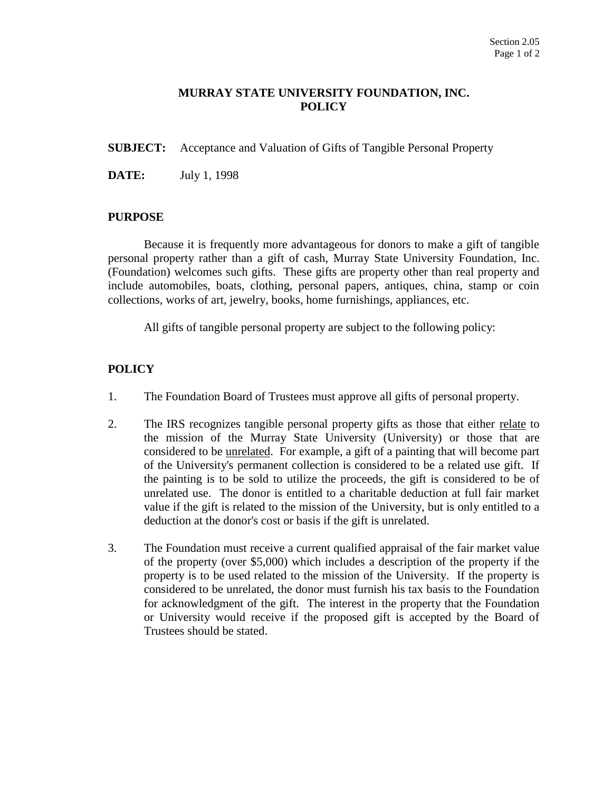## **MURRAY STATE UNIVERSITY FOUNDATION, INC. POLICY**

**SUBJECT:** Acceptance and Valuation of Gifts of Tangible Personal Property

**DATE:** July 1, 1998

## **PURPOSE**

Because it is frequently more advantageous for donors to make a gift of tangible personal property rather than a gift of cash, Murray State University Foundation, Inc. (Foundation) welcomes such gifts. These gifts are property other than real property and include automobiles, boats, clothing, personal papers, antiques, china, stamp or coin collections, works of art, jewelry, books, home furnishings, appliances, etc.

All gifts of tangible personal property are subject to the following policy:

## **POLICY**

- 1. The Foundation Board of Trustees must approve all gifts of personal property.
- 2. The IRS recognizes tangible personal property gifts as those that either relate to the mission of the Murray State University (University) or those that are considered to be unrelated. For example, a gift of a painting that will become part of the University's permanent collection is considered to be a related use gift. If the painting is to be sold to utilize the proceeds, the gift is considered to be of unrelated use. The donor is entitled to a charitable deduction at full fair market value if the gift is related to the mission of the University, but is only entitled to a deduction at the donor's cost or basis if the gift is unrelated.
- 3. The Foundation must receive a current qualified appraisal of the fair market value of the property (over \$5,000) which includes a description of the property if the property is to be used related to the mission of the University. If the property is considered to be unrelated, the donor must furnish his tax basis to the Foundation for acknowledgment of the gift. The interest in the property that the Foundation or University would receive if the proposed gift is accepted by the Board of Trustees should be stated.